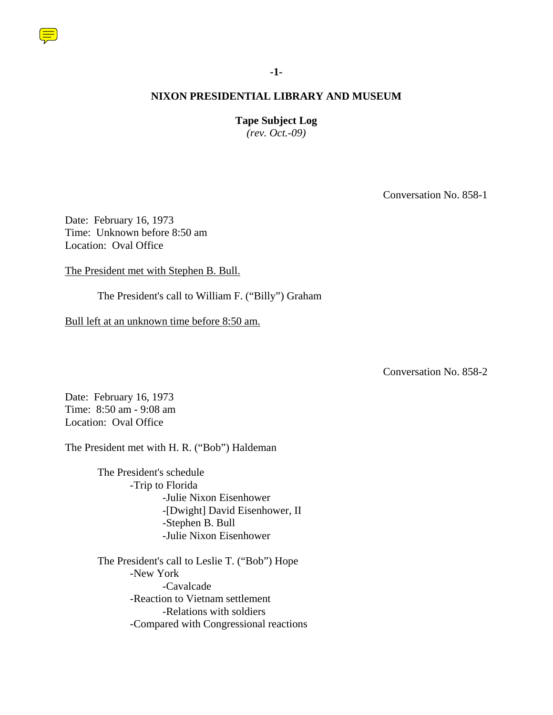

#### **-1-**

# **NIXON PRESIDENTIAL LIBRARY AND MUSEUM**

#### **Tape Subject Log**

*(rev. Oct.-09)*

Conversation No. 858-1

Date: February 16, 1973 Time: Unknown before 8:50 am Location: Oval Office

The President met with Stephen B. Bull.

The President's call to William F. ("Billy") Graham

Bull left at an unknown time before 8:50 am.

Conversation No. 858-2

Date: February 16, 1973 Time: 8:50 am - 9:08 am Location: Oval Office

The President met with H. R. ("Bob") Haldeman

 The President's schedule -Trip to Florida -Julie Nixon Eisenhower -[Dwight] David Eisenhower, II -Stephen B. Bull -Julie Nixon Eisenhower

 The President's call to Leslie T. ("Bob") Hope -New York -Cavalcade -Reaction to Vietnam settlement -Relations with soldiers -Compared with Congressional reactions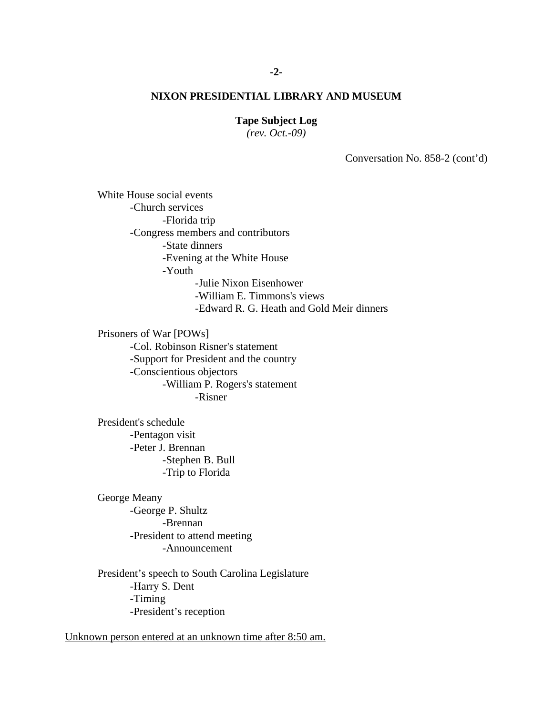# **-2-**

# **NIXON PRESIDENTIAL LIBRARY AND MUSEUM**

#### **Tape Subject Log**

*(rev. Oct.-09)*

Conversation No. 858-2 (cont'd)

White House social events -Church services -Florida trip -Congress members and contributors -State dinners -Evening at the White House -Youth -Julie Nixon Eisenhower -William E. Timmons's views -Edward R. G. Heath and Gold Meir dinners

 Prisoners of War [POWs] -Col. Robinson Risner's statement -Support for President and the country -Conscientious objectors -William P. Rogers's statement -Risner

 President's schedule -Pentagon visit -Peter J. Brennan -Stephen B. Bull -Trip to Florida

 George Meany -George P. Shultz -Brennan -President to attend meeting -Announcement

 President's speech to South Carolina Legislature -Harry S. Dent -Timing -President's reception

Unknown person entered at an unknown time after 8:50 am.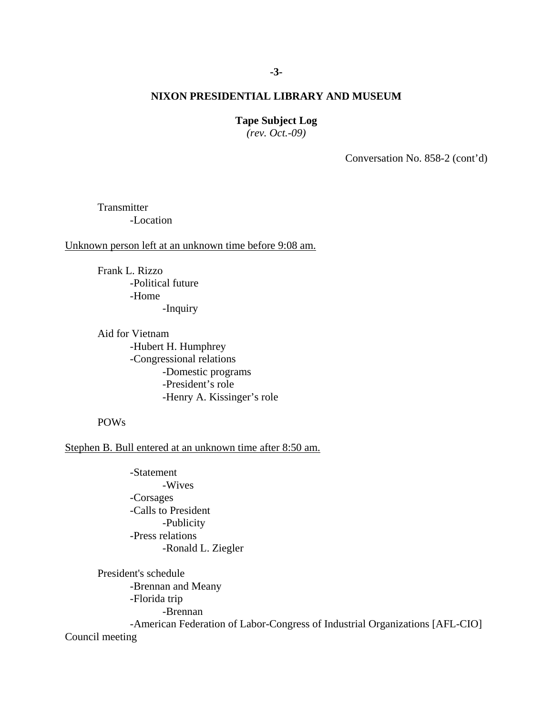# **-3-**

# **NIXON PRESIDENTIAL LIBRARY AND MUSEUM**

#### **Tape Subject Log**

*(rev. Oct.-09)*

Conversation No. 858-2 (cont'd)

**Transmitter** -Location

Unknown person left at an unknown time before 9:08 am.

 Frank L. Rizzo -Political future -Home -Inquiry

Aid for Vietnam -Hubert H. Humphrey -Congressional relations -Domestic programs -President's role -Henry A. Kissinger's role

POWs

Stephen B. Bull entered at an unknown time after 8:50 am.

 -Statement -Wives -Corsages -Calls to President -Publicity -Press relations -Ronald L. Ziegler

President's schedule -Brennan and Meany -Florida trip -Brennan -American Federation of Labor-Congress of Industrial Organizations [AFL-CIO] Council meeting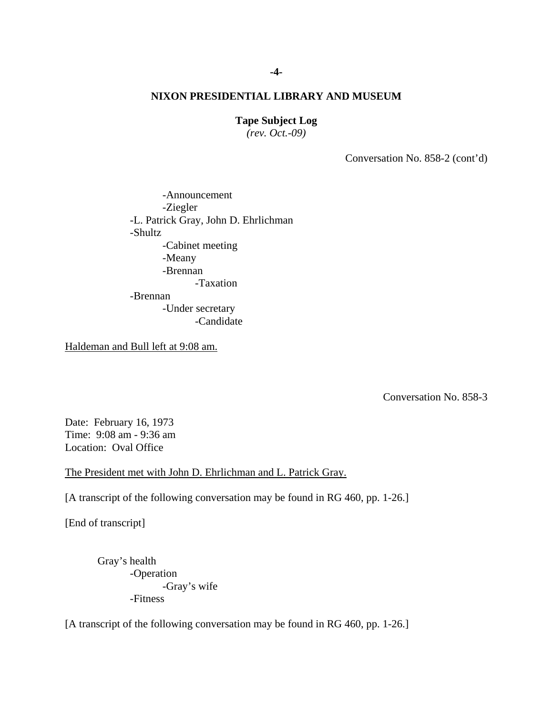#### **Tape Subject Log**

*(rev. Oct.-09)*

Conversation No. 858-2 (cont'd)

-Announcement -Ziegler -L. Patrick Gray, John D. Ehrlichman -Shultz -Cabinet meeting -Meany -Brennan -Taxation -Brennan -Under secretary -Candidate

Haldeman and Bull left at 9:08 am.

Conversation No. 858-3

Date: February 16, 1973 Time: 9:08 am - 9:36 am Location: Oval Office

The President met with John D. Ehrlichman and L. Patrick Gray.

[A transcript of the following conversation may be found in RG 460, pp. 1-26.]

[End of transcript]

Gray's health -Operation -Gray's wife -Fitness

[A transcript of the following conversation may be found in RG 460, pp. 1-26.]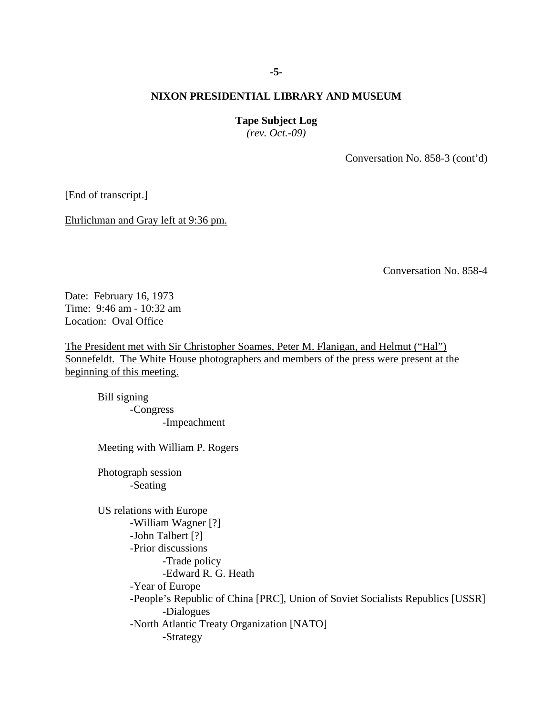#### **-5-**

# **NIXON PRESIDENTIAL LIBRARY AND MUSEUM**

#### **Tape Subject Log**

*(rev. Oct.-09)*

Conversation No. 858-3 (cont'd)

[End of transcript.]

Ehrlichman and Gray left at 9:36 pm.

Conversation No. 858-4

Date: February 16, 1973 Time: 9:46 am - 10:32 am Location: Oval Office

The President met with Sir Christopher Soames, Peter M. Flanigan, and Helmut ("Hal") Sonnefeldt. The White House photographers and members of the press were present at the beginning of this meeting.

Bill signing -Congress -Impeachment

Meeting with William P. Rogers

Photograph session -Seating

US relations with Europe -William Wagner [?] -John Talbert [?] -Prior discussions -Trade policy -Edward R. G. Heath -Year of Europe -People's Republic of China [PRC], Union of Soviet Socialists Republics [USSR] -Dialogues -North Atlantic Treaty Organization [NATO] -Strategy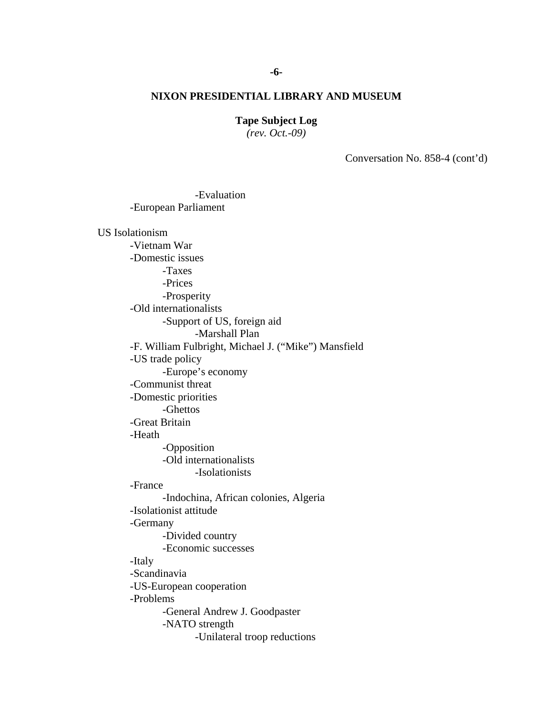#### **Tape Subject Log**

*(rev. Oct.-09)*

Conversation No. 858-4 (cont'd)

-European Parliament US Isolationism -Vietnam War -Domestic issues -Taxes -Prices -Prosperity -Old internationalists -Support of US, foreign aid -Marshall Plan -F. William Fulbright, Michael J. ("Mike") Mansfield -US trade policy -Europe's economy -Communist threat -Domestic priorities -Ghettos -Great Britain -Heath -Opposition -Old internationalists -Isolationists -France -Indochina, African colonies, Algeria -Isolationist attitude -Germany -Divided country -Economic successes -Italy -Scandinavia -US-European cooperation -Problems -General Andrew J. Goodpaster -NATO strength -Unilateral troop reductions

-Evaluation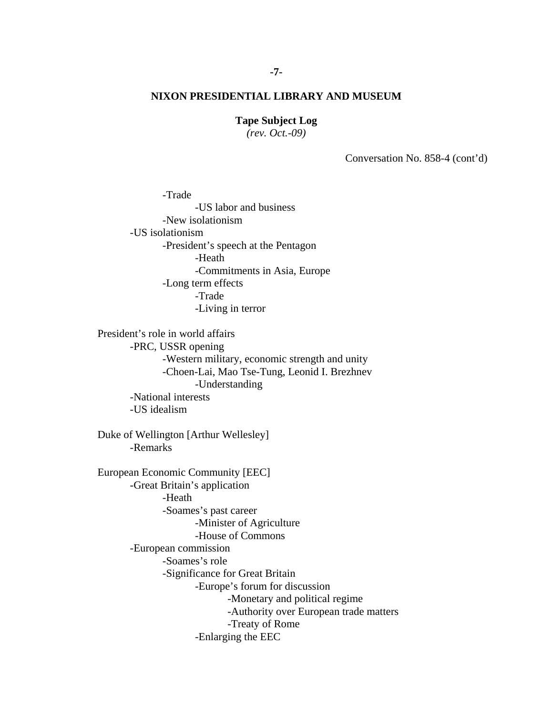#### **Tape Subject Log**

*(rev. Oct.-09)*

Conversation No. 858-4 (cont'd)

-Trade -US labor and business -New isolationism -US isolationism -President's speech at the Pentagon -Heath -Commitments in Asia, Europe -Long term effects -Trade -Living in terror

President's role in world affairs -PRC, USSR opening -Western military, economic strength and unity -Choen-Lai, Mao Tse-Tung, Leonid I. Brezhnev -Understanding -National interests -US idealism

Duke of Wellington [Arthur Wellesley] -Remarks

European Economic Community [EEC] -Great Britain's application -Heath -Soames's past career -Minister of Agriculture -House of Commons -European commission -Soames's role -Significance for Great Britain -Europe's forum for discussion -Monetary and political regime -Authority over European trade matters -Treaty of Rome -Enlarging the EEC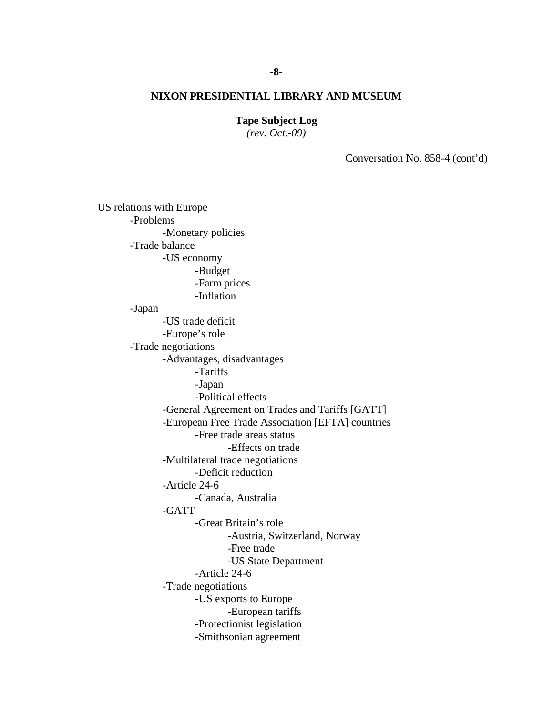#### **Tape Subject Log**

*(rev. Oct.-09)*

Conversation No. 858-4 (cont'd)

US relations with Europe -Problems -Monetary policies -Trade balance -US economy -Budget -Farm prices -Inflation -Japan -US trade deficit -Europe's role -Trade negotiations -Advantages, disadvantages -Tariffs -Japan -Political effects -General Agreement on Trades and Tariffs [GATT] -European Free Trade Association [EFTA] countries -Free trade areas status -Effects on trade -Multilateral trade negotiations -Deficit reduction -Article 24-6 -Canada, Australia -GATT -Great Britain's role -Austria, Switzerland, Norway -Free trade -US State Department -Article 24-6 -Trade negotiations -US exports to Europe -European tariffs -Protectionist legislation -Smithsonian agreement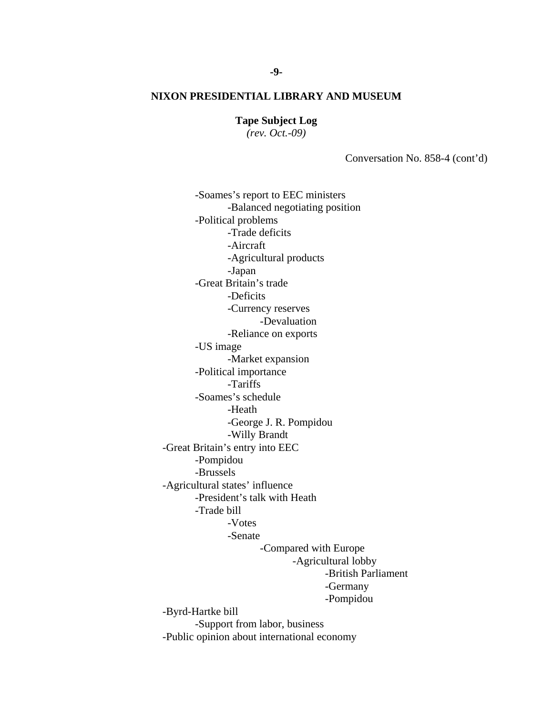**Tape Subject Log**

*(rev. Oct.-09)*

Conversation No. 858-4 (cont'd)

-Soames's report to EEC ministers -Balanced negotiating position -Political problems -Trade deficits -Aircraft -Agricultural products -Japan -Great Britain's trade -Deficits -Currency reserves -Devaluation -Reliance on exports -US image -Market expansion -Political importance -Tariffs -Soames's schedule -Heath -George J. R. Pompidou -Willy Brandt -Great Britain's entry into EEC -Pompidou -Brussels -Agricultural states' influence -President's talk with Heath -Trade bill -Votes -Senate -Compared with Europe -Agricultural lobby -British Parliament -Germany -Pompidou -Byrd-Hartke bill -Support from labor, business -Public opinion about international economy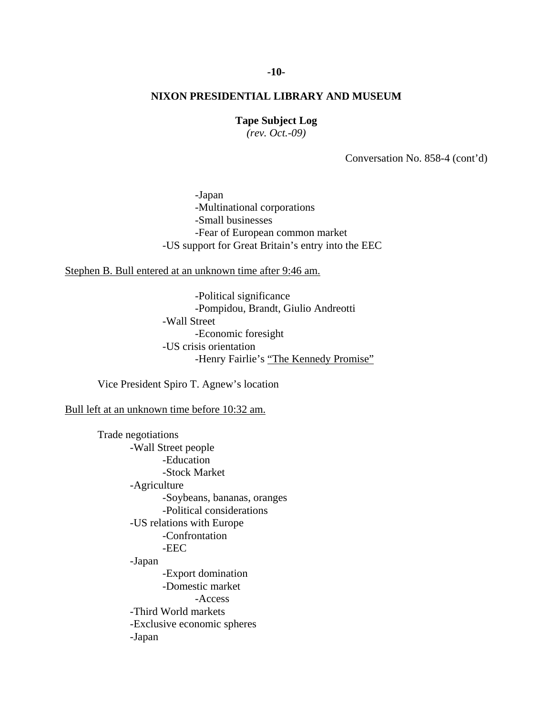# **-10-**

# **NIXON PRESIDENTIAL LIBRARY AND MUSEUM**

#### **Tape Subject Log**

*(rev. Oct.-09)*

Conversation No. 858-4 (cont'd)

-Japan -Multinational corporations -Small businesses -Fear of European common market -US support for Great Britain's entry into the EEC

Stephen B. Bull entered at an unknown time after 9:46 am.

-Political significance -Pompidou, Brandt, Giulio Andreotti -Wall Street -Economic foresight -US crisis orientation -Henry Fairlie's "The Kennedy Promise"

Vice President Spiro T. Agnew's location

Bull left at an unknown time before 10:32 am.

Trade negotiations -Wall Street people -Education -Stock Market -Agriculture -Soybeans, bananas, oranges -Political considerations -US relations with Europe -Confrontation -EEC -Japan -Export domination -Domestic market -Access -Third World markets -Exclusive economic spheres -Japan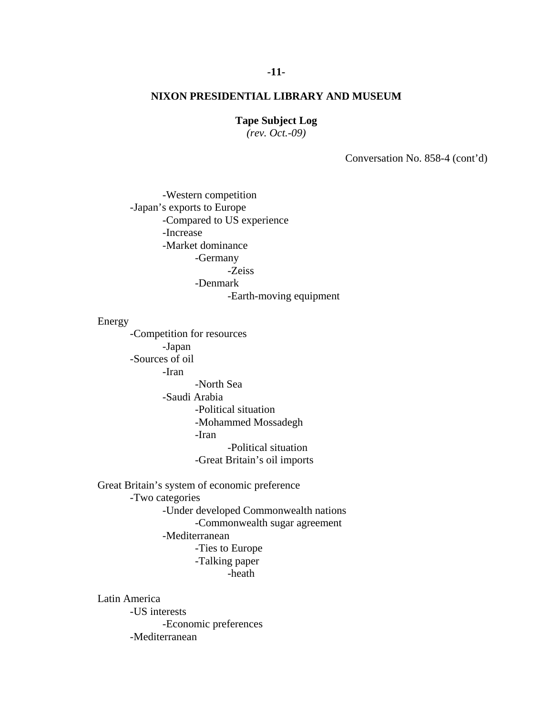#### **Tape Subject Log**

*(rev. Oct.-09)*

Conversation No. 858-4 (cont'd)

-Western competition -Japan's exports to Europe -Compared to US experience -Increase -Market dominance -Germany -Zeiss -Denmark

-Earth-moving equipment

Energy

-Competition for resources -Japan -Sources of oil -Iran -North Sea -Saudi Arabia -Political situation -Mohammed Mossadegh -Iran -Political situation -Great Britain's oil imports

Great Britain's system of economic preference -Two categories -Under developed Commonwealth nations -Commonwealth sugar agreement -Mediterranean -Ties to Europe -Talking paper -heath

Latin America -US interests -Economic preferences -Mediterranean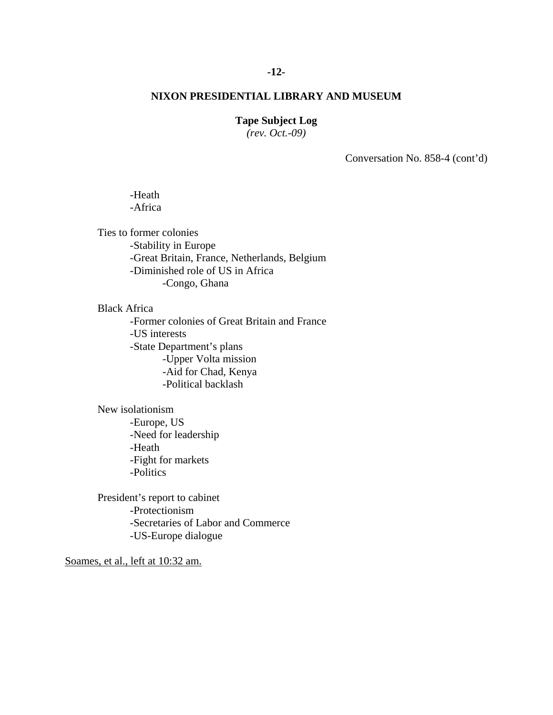# **-12-**

# **NIXON PRESIDENTIAL LIBRARY AND MUSEUM**

#### **Tape Subject Log**

*(rev. Oct.-09)*

Conversation No. 858-4 (cont'd)

## -Heath -Africa

Ties to former colonies -Stability in Europe -Great Britain, France, Netherlands, Belgium -Diminished role of US in Africa -Congo, Ghana

Black Africa

-Former colonies of Great Britain and France -US interests -State Department's plans -Upper Volta mission -Aid for Chad, Kenya -Political backlash

New isolationism -Europe, US -Need for leadership -Heath -Fight for markets -Politics

President's report to cabinet -Protectionism -Secretaries of Labor and Commerce -US-Europe dialogue

Soames, et al., left at 10:32 am.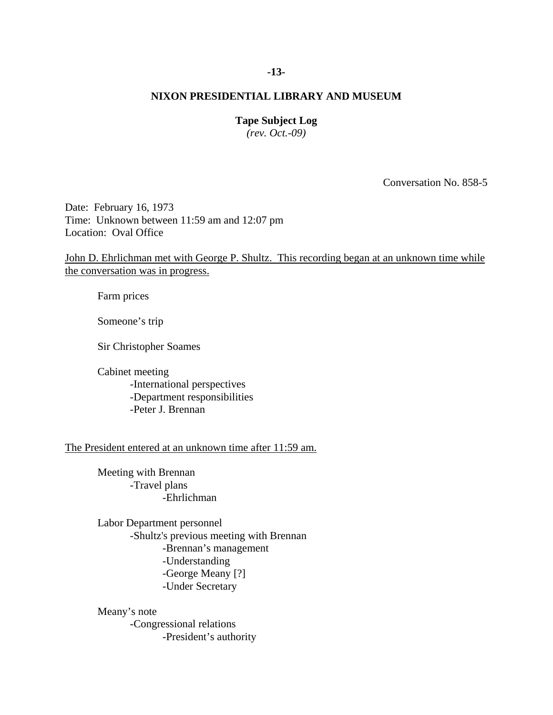# **-13-**

# **NIXON PRESIDENTIAL LIBRARY AND MUSEUM**

#### **Tape Subject Log**

*(rev. Oct.-09)*

Conversation No. 858-5

Date: February 16, 1973 Time: Unknown between 11:59 am and 12:07 pm Location: Oval Office

John D. Ehrlichman met with George P. Shultz. This recording began at an unknown time while the conversation was in progress.

Farm prices

Someone's trip

Sir Christopher Soames

Cabinet meeting -International perspectives -Department responsibilities -Peter J. Brennan

The President entered at an unknown time after 11:59 am.

 Meeting with Brennan -Travel plans -Ehrlichman

 Labor Department personnel -Shultz's previous meeting with Brennan -Brennan's management -Understanding -George Meany [?] -Under Secretary

 Meany's note -Congressional relations -President's authority